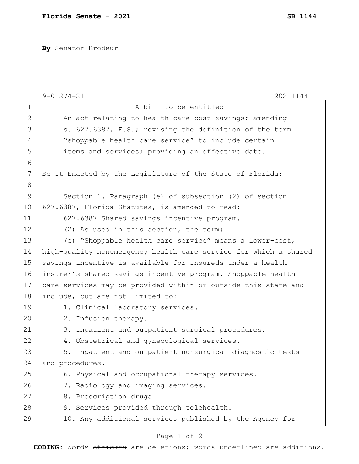**By** Senator Brodeur

|             | $9 - 01274 - 21$<br>20211144                                     |
|-------------|------------------------------------------------------------------|
| $\mathbf 1$ | A bill to be entitled                                            |
| 2           | An act relating to health care cost savings; amending            |
| 3           | s. 627.6387, F.S.; revising the definition of the term           |
| 4           | "shoppable health care service" to include certain               |
| 5           | items and services; providing an effective date.                 |
| 6           |                                                                  |
| 7           | Be It Enacted by the Legislature of the State of Florida:        |
| 8           |                                                                  |
| 9           | Section 1. Paragraph (e) of subsection (2) of section            |
| 10          | 627.6387, Florida Statutes, is amended to read:                  |
| 11          | 627.6387 Shared savings incentive program.-                      |
| 12          | (2) As used in this section, the term:                           |
| 13          | (e) "Shoppable health care service" means a lower-cost,          |
| 14          | high-quality nonemergency health care service for which a shared |
| 15          | savings incentive is available for insureds under a health       |
| 16          | insurer's shared savings incentive program. Shoppable health     |
| 17          | care services may be provided within or outside this state and   |
| 18          | include, but are not limited to:                                 |
| 19          | 1. Clinical laboratory services.                                 |
| 20          | 2. Infusion therapy.                                             |
| 21          | Inpatient and outpatient surgical procedures.<br>3.              |
| 22          | 4. Obstetrical and gynecological services.                       |
| 23          | 5. Inpatient and outpatient nonsurgical diagnostic tests         |
| 24          | and procedures.                                                  |
| 25          | 6. Physical and occupational therapy services.                   |
| 26          | 7. Radiology and imaging services.                               |
| 27          | 8. Prescription drugs.                                           |
| 28          | 9. Services provided through telehealth.                         |
| 29          | 10. Any additional services published by the Agency for          |
|             |                                                                  |

## Page 1 of 2

**CODING**: Words stricken are deletions; words underlined are additions.